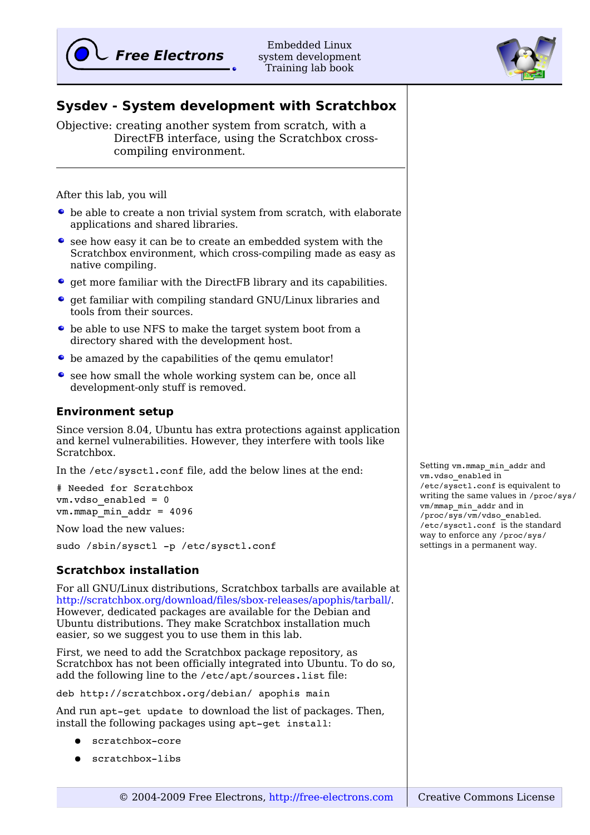

Embedded Linux system development Training lab book



Objective: creating another system from scratch, with a DirectFB interface, using the Scratchbox crosscompiling environment.

After this lab, you will

- be able to create a non trivial system from scratch, with elaborate applications and shared libraries.
- see how easy it can be to create an embedded system with the Scratchbox environment, which cross-compiling made as easy as native compiling.
- get more familiar with the DirectFB library and its capabilities.
- $\bullet$  get familiar with compiling standard GNU/Linux libraries and tools from their sources.
- be able to use NFS to make the target system boot from a directory shared with the development host.
- $\bullet$  be amazed by the capabilities of the gemu emulator!
- see how small the whole working system can be, once all development-only stuff is removed.

#### **Environment setup**

Since version 8.04, Ubuntu has extra protections against application and kernel vulnerabilities. However, they interfere with tools like Scratchbox.

In the /etc/sysctl.conf file, add the below lines at the end:

# Needed for Scratchbox vm.vdso\_enabled = 0 vm.mmap\_min\_addr = 4096

Now load the new values:

sudo /sbin/sysctl -p /etc/sysctl.conf

### **Scratchbox installation**

For all GNU/Linux distributions, Scratchbox tarballs are available at [http://scratchbox.org/download/files/sbox-releases/apophis/tarball/.](http://scratchbox.org/download/files/sbox-releases/apophis/tarball/) However, dedicated packages are available for the Debian and Ubuntu distributions. They make Scratchbox installation much easier, so we suggest you to use them in this lab.

First, we need to add the Scratchbox package repository, as Scratchbox has not been officially integrated into Ubuntu. To do so, add the following line to the /etc/apt/sources.list file:

deb http://scratchbox.org/debian/ apophis main

And run apt-get update to download the list of packages. Then, install the following packages using apt-get install:

- scratchbox-core
- scratchbox-libs

Setting vm.mmap\_min\_addr and vm.vdso\_enabled in /etc/sysctl.conf is equivalent to writing the same values in /proc/sys/ vm/mmap\_min\_addr and in /proc/sys/vm/vdso\_enabled. /etc/sysctl.conf is the standard way to enforce any /proc/sys/ settings in a permanent way.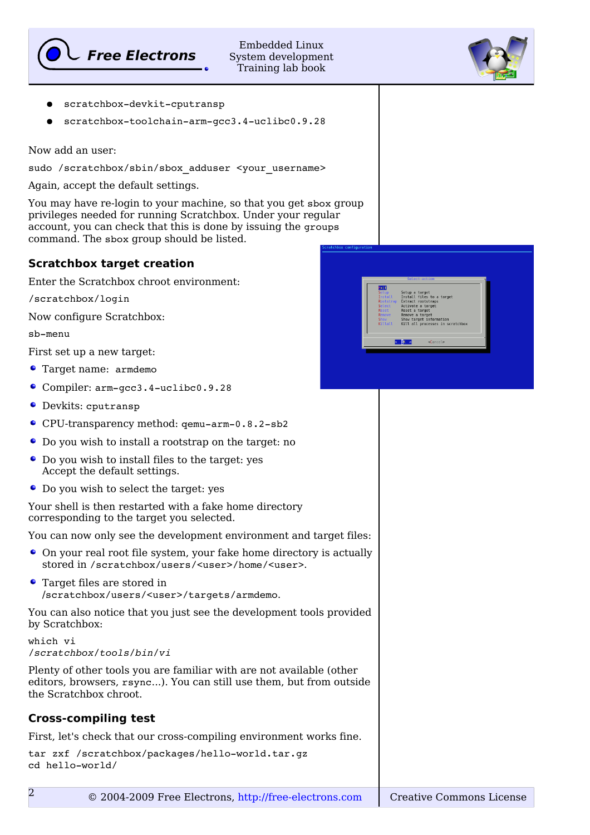

Embedded Linux System development Training lab book

- scratchbox-devkit-cputransp
- scratchbox-toolchain-arm-qcc3.4-uclibc0.9.28

Now add an user:

sudo /scratchbox/sbin/sbox adduser <your username>

Again, accept the default settings.

You may have re-login to your machine, so that you get sbox group privileges needed for running Scratchbox. Under your regular account, you can check that this is done by issuing the groups command. The sbox group should be listed.

## **Scratchbox target creation**

Enter the Scratchbox chroot environment:

/scratchbox/login

Now configure Scratchbox:

sb-menu

First set up a new target:

- Target name: armdemo
- Compiler: arm-gcc3.4-uclibc0.9.28
- Devkits: cputransp
- CPU-transparency method: qemu-arm-0.8.2-sb2
- Do you wish to install a rootstrap on the target: no
- Do you wish to install files to the target: yes Accept the default settings.
- Do you wish to select the target: yes

Your shell is then restarted with a fake home directory corresponding to the target you selected.

You can now only see the development environment and target files:

- On your real root file system, your fake home directory is actually stored in /scratchbox/users/<user>/home/<user>.
- $\bullet$ Target files are stored in /scratchbox/users/<user>/targets/armdemo.

You can also notice that you just see the development tools provided by Scratchbox:

```
which vi
/scratchbox/tools/bin/vi
```
Plenty of other tools you are familiar with are not available (other editors, browsers, rsync...). You can still use them, but from outside the Scratchbox chroot.

# **Cross-compiling test**

First, let's check that our cross-compiling environment works fine.

```
tar zxf /scratchbox/packages/hello-world.tar.gz
cd hello-world/
```
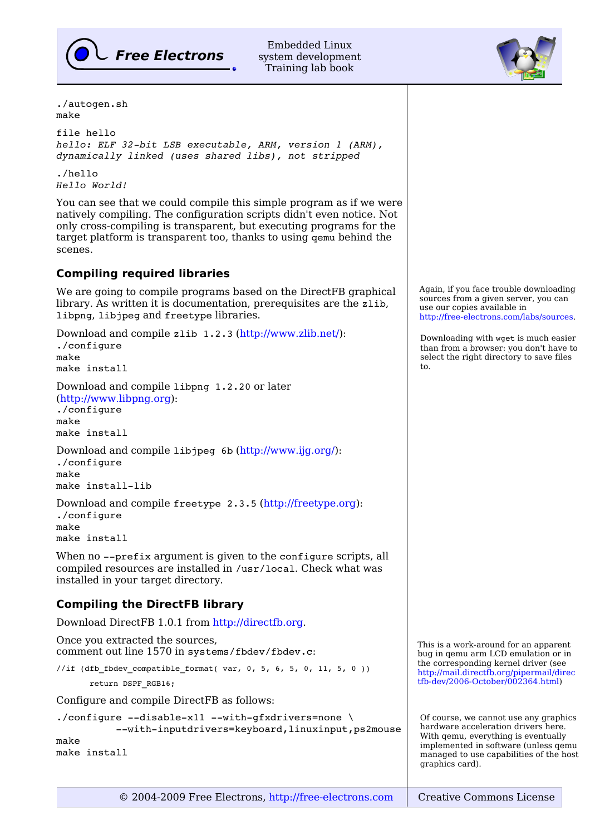

Embedded Linux system development Training lab book

./autogen.sh make

file hello *hello: ELF 32bit LSB executable, ARM, version 1 (ARM), dynamically linked (uses shared libs), not stripped*

./hello *Hello World!*

You can see that we could compile this simple program as if we were natively compiling. The configuration scripts didn't even notice. Not only cross-compiling is transparent, but executing programs for the target platform is transparent too, thanks to using qemu behind the scenes.

## **Compiling required libraries**

We are going to compile programs based on the DirectFB graphical library. As written it is documentation, prerequisites are the zlib, libpng, libjpeg and freetype libraries.

Download and compile zlib 1.2.3 [\(http://www.zlib.net/\)](http://www.zlib.net/): ./configure make make install

Download and compile libpng 1.2.20 or later [\(http://www.libpng.org\)](http://www.libpng.org/): ./configure make

make install

Download and compile libjpeg 6b [\(http://www.ijg.org/\)](http://www.ijg.org/): ./configure make make install-lib

Download and compile freetype 2.3.5 [\(http://freetype.org\)](http://freetype.org/): ./configure make make install

When no --prefix argument is given to the configure scripts, all compiled resources are installed in /usr/local. Check what was installed in your target directory.

# **Compiling the DirectFB library**

Download DirectFB 1.0.1 from [http://directfb.org.](http://directfb.org/)

Once you extracted the sources, comment out line 1570 in systems/fbdev/fbdev.c:

//if (dfb fbdev compatible format( var, 0, 5, 6, 5, 0, 11, 5, 0 ))

```
       return DSPF_RGB16;
```
Configure and compile DirectFB as follows:

```
./configure --disable-x11 --with-gfxdrivers=none \
          --with-inputdrivers=keyboard,linuxinput,ps2mouse
make
make install
```


Downloading with wget is much easier than from a browser: you don't have to select the right directory to save files to.

This is a work-around for an apparent bug in qemu arm LCD emulation or in the corresponding kernel driver (see [http://mail.directfb.org/pipermail/direc](http://mail.directfb.org/pipermail/directfb-dev/2006-October/002364.html) [tfb-dev/2006-October/002364.html\)](http://mail.directfb.org/pipermail/directfb-dev/2006-October/002364.html)

Of course, we cannot use any graphics hardware acceleration drivers here. With qemu, everything is eventually implemented in software (unless qemu managed to use capabilities of the host graphics card).

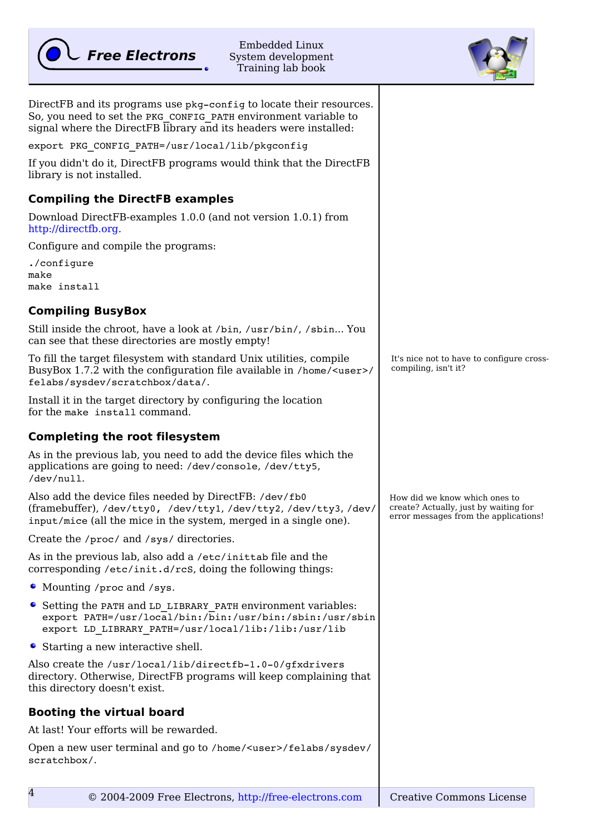

Embedded Linux System development Training lab book



| DirectFB and its programs use pkg-config to locate their resources.<br>So, you need to set the PKG CONFIG PATH environment variable to<br>signal where the DirectFB library and its headers were installed: |                                                                                                                 |
|-------------------------------------------------------------------------------------------------------------------------------------------------------------------------------------------------------------|-----------------------------------------------------------------------------------------------------------------|
| export PKG CONFIG PATH=/usr/local/lib/pkgconfig                                                                                                                                                             |                                                                                                                 |
| If you didn't do it, DirectFB programs would think that the DirectFB<br>library is not installed.                                                                                                           |                                                                                                                 |
| <b>Compiling the DirectFB examples</b>                                                                                                                                                                      |                                                                                                                 |
| Download DirectFB-examples 1.0.0 (and not version 1.0.1) from<br>http://directfb.org.                                                                                                                       |                                                                                                                 |
| Configure and compile the programs:                                                                                                                                                                         |                                                                                                                 |
| ./configure<br>make<br>make install                                                                                                                                                                         |                                                                                                                 |
| <b>Compiling BusyBox</b>                                                                                                                                                                                    |                                                                                                                 |
| Still inside the chroot, have a look at /bin, /usr/bin/, /sbin You<br>can see that these directories are mostly empty!                                                                                      |                                                                                                                 |
| To fill the target filesystem with standard Unix utilities, compile<br>BusyBox 1.7.2 with the configuration file available in /home/ <user>/<br/>felabs/sysdev/scratchbox/data/.</user>                     | It's nice not to have to configure cross-<br>compiling, isn't it?                                               |
| Install it in the target directory by configuring the location<br>for the make install command.                                                                                                             |                                                                                                                 |
| <b>Completing the root filesystem</b>                                                                                                                                                                       |                                                                                                                 |
|                                                                                                                                                                                                             |                                                                                                                 |
| As in the previous lab, you need to add the device files which the<br>applications are going to need: /dev/console, /dev/tty5,<br>/dev/null.                                                                |                                                                                                                 |
| Also add the device files needed by DirectFB: /dev/fb0<br>(framebuffer), /dev/tty0, /dev/tty1, /dev/tty2, /dev/tty3, /dev/<br>input/mice (all the mice in the system, merged in a single one).              | How did we know which ones to<br>create? Actually, just by waiting for<br>error messages from the applications! |
| Create the /proc/ and /sys/ directories.                                                                                                                                                                    |                                                                                                                 |
| As in the previous lab, also add a /etc/inittab file and the<br>corresponding /etc/init.d/rcs, doing the following things:                                                                                  |                                                                                                                 |
| • Mounting / proc and / sys.                                                                                                                                                                                |                                                                                                                 |
| • Setting the PATH and LD LIBRARY PATH environment variables:<br>export PATH=/usr/local/bin:/bin:/usr/bin:/sbin:/usr/sbin<br>export LD LIBRARY PATH=/usr/local/lib:/lib:/usr/lib                            |                                                                                                                 |
| • Starting a new interactive shell.                                                                                                                                                                         |                                                                                                                 |
| Also create the /usr/local/lib/directfb-1.0-0/qfxdrivers<br>directory. Otherwise, DirectFB programs will keep complaining that<br>this directory doesn't exist.                                             |                                                                                                                 |
| <b>Booting the virtual board</b>                                                                                                                                                                            |                                                                                                                 |
| At last! Your efforts will be rewarded.                                                                                                                                                                     |                                                                                                                 |
| Open a new user terminal and go to /home/ <user>/felabs/sysdev/<br/>scratchbox/.</user>                                                                                                                     |                                                                                                                 |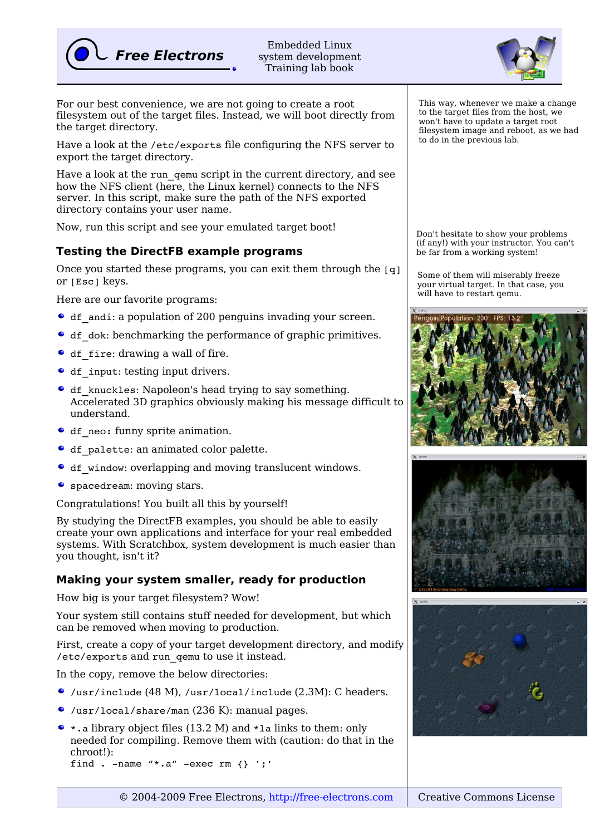

Embedded Linux system development Training lab book

For our best convenience, we are not going to create a root filesystem out of the target files. Instead, we will boot directly from the target directory.

Have a look at the /etc/exports file configuring the NFS server to export the target directory.

Have a look at the run qemu script in the current directory, and see how the NFS client (here, the Linux kernel) connects to the NFS server. In this script, make sure the path of the NFS exported directory contains your user name.

Now, run this script and see your emulated target boot!

## **Testing the DirectFB example programs**

Once you started these programs, you can exit them through the  $[q]$ or [Esc] keys.

Here are our favorite programs:

- df\_andi: a population of 200 penguins invading your screen.
- df dok: benchmarking the performance of graphic primitives.
- df fire: drawing a wall of fire.
- df input: testing input drivers.
- df knuckles: Napoleon's head trying to say something. Accelerated 3D graphics obviously making his message difficult to understand.
- df neo: funny sprite animation.
- $\bullet$  df palette: an animated color palette.
- df window: overlapping and moving translucent windows.
- spacedream: moving stars.

Congratulations! You built all this by yourself!

By studying the DirectFB examples, you should be able to easily create your own applications and interface for your real embedded systems. With Scratchbox, system development is much easier than you thought, isn't it?

### **Making your system smaller, ready for production**

How big is your target filesystem? Wow!

Your system still contains stuff needed for development, but which can be removed when moving to production.

First, create a copy of your target development directory, and modify /etc/exports and run\_qemu to use it instead.

In the copy, remove the below directories:

- /usr/include (48 M), /usr/local/include (2.3M): C headers.
- /usr/local/share/man (236 K): manual pages.
- $\bullet$  : a library object files (13.2 M) and \*1a links to them: only needed for compiling. Remove them with (caution: do that in the chroot!): find .  $-\text{name}$  " $*$ .a"  $-\text{exec}$  rm {} ';'

This way, whenever we make a change to the target files from the host, we won't have to update a target root filesystem image and reboot, as we had to do in the previous lab.

Don't hesitate to show your problems (if any!) with your instructor. You can't be far from a working system!

Some of them will miserably freeze your virtual target. In that case, you will have to restart qemu.